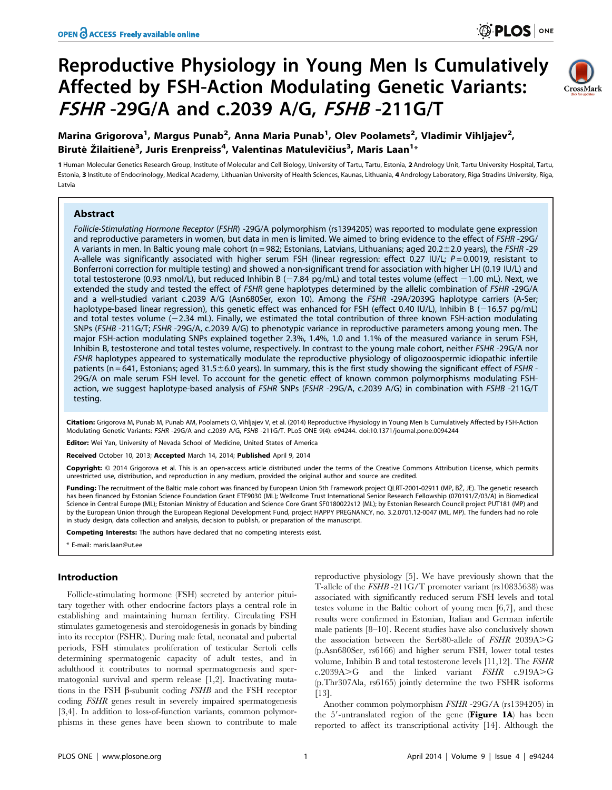# Reproductive Physiology in Young Men Is Cumulatively Affected by FSH-Action Modulating Genetic Variants: FSHR -29G/A and c.2039 A/G, FSHB -211G/T



# Marina Grigorova<sup>1</sup>, Margus Punab<sup>2</sup>, Anna Maria Punab<sup>1</sup>, Olev Poolamets<sup>2</sup>, Vladimir Vihljajev<sup>2</sup>, Birutė Žilaitienė $^3$ , Juris Erenpreiss $^4$ , Valentinas Matulevičius $^3$ , Maris Laan $^{1_\ast}$

1 Human Molecular Genetics Research Group, Institute of Molecular and Cell Biology, University of Tartu, Tartu, Estonia, 2 Andrology Unit, Tartu University Hospital, Tartu, Estonia, 3 Institute of Endocrinology, Medical Academy, Lithuanian University of Health Sciences, Kaunas, Lithuania, 4 Andrology Laboratory, Riga Stradins University, Riga, Latvia

# Abstract

Follicle-Stimulating Hormone Receptor (FSHR) -29G/A polymorphism (rs1394205) was reported to modulate gene expression and reproductive parameters in women, but data in men is limited. We aimed to bring evidence to the effect of FSHR -29G/ A variants in men. In Baltic young male cohort (n = 982; Estonians, Latvians, Lithuanians; aged 20.2 $\pm$ 2.0 years), the FSHR -29 A-allele was significantly associated with higher serum FSH (linear regression: effect 0.27 IU/L;  $P = 0.0019$ , resistant to Bonferroni correction for multiple testing) and showed a non-significant trend for association with higher LH (0.19 IU/L) and total testosterone (0.93 nmol/L), but reduced Inhibin B ( $-7.84$  pg/mL) and total testes volume (effect  $-1.00$  mL). Next, we extended the study and tested the effect of FSHR gene haplotypes determined by the allelic combination of FSHR -29G/A and a well-studied variant c.2039 A/G (Asn680Ser, exon 10). Among the FSHR -29A/2039G haplotype carriers (A-Ser; haplotype-based linear regression), this genetic effect was enhanced for FSH (effect 0.40 IU/L), Inhibin B (-16.57 pg/mL) and total testes volume  $(-2.34 \text{ mL})$ . Finally, we estimated the total contribution of three known FSH-action modulating SNPs (FSHB -211G/T; FSHR -29G/A, c.2039 A/G) to phenotypic variance in reproductive parameters among young men. The major FSH-action modulating SNPs explained together 2.3%, 1.4%, 1.0 and 1.1% of the measured variance in serum FSH, Inhibin B, testosterone and total testes volume, respectively. In contrast to the young male cohort, neither FSHR -29G/A nor FSHR haplotypes appeared to systematically modulate the reproductive physiology of oligozoospermic idiopathic infertile patients (n = 641, Estonians; aged 31.5±6.0 years). In summary, this is the first study showing the significant effect of FSHR -29G/A on male serum FSH level. To account for the genetic effect of known common polymorphisms modulating FSHaction, we suggest haplotype-based analysis of FSHR SNPs (FSHR -29G/A, c.2039 A/G) in combination with FSHB -211G/T testing.

Citation: Grigorova M, Punab M, Punab AM, Poolamets O, Vihljajev V, et al. (2014) Reproductive Physiology in Young Men Is Cumulatively Affected by FSH-Action Modulating Genetic Variants: FSHR -29G/A and c.2039 A/G, FSHB -211G/T. PLoS ONE 9(4): e94244. doi:10.1371/journal.pone.0094244

Editor: Wei Yan, University of Nevada School of Medicine, United States of America

Received October 10, 2013; Accepted March 14, 2014; Published April 9, 2014

Copyright: © 2014 Grigorova et al. This is an open-access article distributed under the terms of the [Creative Commons Attribution License](http://creativecommons.org/licenses/by/4.0/), which permits unrestricted use, distribution, and reproduction in any medium, provided the original author and source are credited.

Funding: The recruitment of the Baltic male cohort was financed by European Union 5th Framework project QLRT-2001-02911 (MP, BŽ, JE). The genetic research has been financed by Estonian Science Foundation Grant ETF9030 (ML); Wellcome Trust International Senior Research Fellowship (070191/Z/03/A) in Biomedical Science in Central Europe (ML); Estonian Ministry of Education and Science Core Grant SF0180022s12 (ML); by Estonian Research Council project PUT181 (MP) and by the European Union through the European Regional Development Fund, project HAPPY PREGNANCY, no. 3.2.0701.12-0047 (ML, MP). The funders had no role in study design, data collection and analysis, decision to publish, or preparation of the manuscript.

Competing Interests: The authors have declared that no competing interests exist.

\* E-mail: maris.laan@ut.ee

## Introduction

Follicle-stimulating hormone (FSH) secreted by anterior pituitary together with other endocrine factors plays a central role in establishing and maintaining human fertility. Circulating FSH stimulates gametogenesis and steroidogenesis in gonads by binding into its receptor (FSHR). During male fetal, neonatal and pubertal periods, FSH stimulates proliferation of testicular Sertoli cells determining spermatogenic capacity of adult testes, and in adulthood it contributes to normal spermatogenesis and spermatogonial survival and sperm release [1,2]. Inactivating mutations in the FSH  $\beta$ -subunit coding *FSHB* and the FSH receptor coding FSHR genes result in severely impaired spermatogenesis [3,4]. In addition to loss-of-function variants, common polymorphisms in these genes have been shown to contribute to male

reproductive physiology [5]. We have previously shown that the T-allele of the FSHB -211G/T promoter variant (rs10835638) was associated with significantly reduced serum FSH levels and total testes volume in the Baltic cohort of young men [6,7], and these results were confirmed in Estonian, Italian and German infertile male patients [8–10]. Recent studies have also conclusively shown the association between the Ser680-allele of  $FSHR$  2039A $\gt$ G (p.Asn680Ser, rs6166) and higher serum FSH, lower total testes volume, Inhibin B and total testosterone levels [11,12]. The FSHR  $c.2039A > G$  and the linked variant  $FSHR$   $c.919A > G$ (p.Thr307Ala, rs6165) jointly determine the two FSHR isoforms [13].

Another common polymorphism FSHR -29G/A (rs1394205) in the  $5'$ -untranslated region of the gene (Figure 1A) has been reported to affect its transcriptional activity [14]. Although the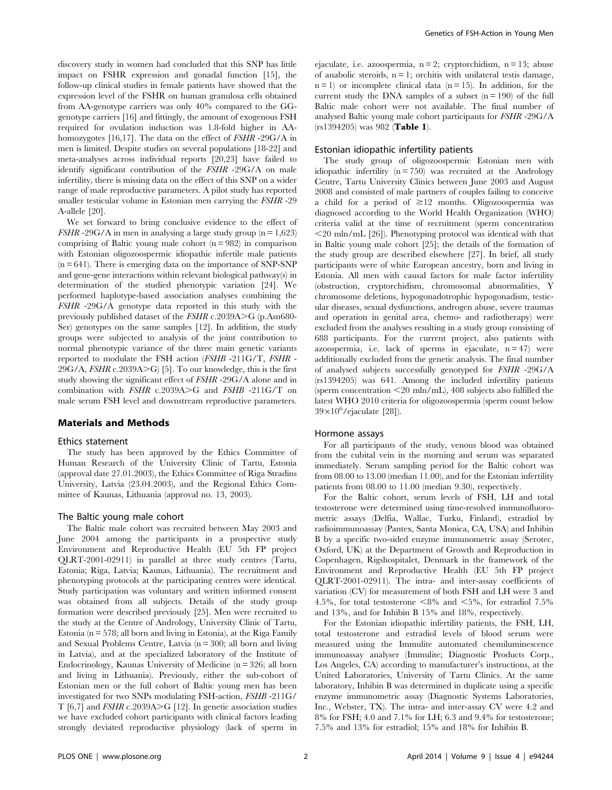discovery study in women had concluded that this SNP has little impact on FSHR expression and gonadal function [15], the follow-up clinical studies in female patients have showed that the expression level of the FSHR on human granulosa cells obtained from AA-genotype carriers was only 40% compared to the GGgenotype carriers [16] and fittingly, the amount of exogenous FSH required for ovulation induction was 1.8-fold higher in AAhomozygotes [16,17]. The data on the effect of *FSHR* -29G/A in men is limited. Despite studies on several populations [18-22] and meta-analyses across individual reports [20,23] have failed to identify significant contribution of the FSHR -29G/A on male infertility, there is missing data on the effect of this SNP on a wider range of male reproductive parameters. A pilot study has reported smaller testicular volume in Estonian men carrying the FSHR -29 A-allele [20].

We set forward to bring conclusive evidence to the effect of *FSHR* -29G/A in men in analysing a large study group ( $n = 1,623$ ) comprising of Baltic young male cohort  $(n = 982)$  in comparison with Estonian oligozoospermic idiopathic infertile male patients  $(n = 641)$ . There is emerging data on the importance of SNP-SNP and gene-gene interactions within relevant biological pathway(s) in determination of the studied phenotypic variation [24]. We performed haplotype-based association analyses combining the FSHR -29G/A genotype data reported in this study with the previously published dataset of the  $FSHR$  c.2039A $\geq$ G (p.Asn680-Ser) genotypes on the same samples [12]. In addition, the study groups were subjected to analysis of the joint contribution to normal phenotypic variance of the three main genetic variants reported to modulate the FSH action (FSHB -211G/T, FSHR -  $29G/A$ ,  $FSHR$  c.2039A>G) [5]. To our knowledge, this is the first study showing the significant effect of FSHR -29G/A alone and in combination with  $FSHR$  c.2039A>G and  $FSHB$  -211G/T on male serum FSH level and downstream reproductive parameters.

#### Materials and Methods

#### Ethics statement

The study has been approved by the Ethics Committee of Human Research of the University Clinic of Tartu, Estonia (approval date 27.01.2003), the Ethics Committee of Riga Stradins University, Latvia (23.04.2003), and the Regional Ethics Committee of Kaunas, Lithuania (approval no. 13, 2003).

#### The Baltic young male cohort

The Baltic male cohort was recruited between May 2003 and June 2004 among the participants in a prospective study Environment and Reproductive Health (EU 5th FP project QLRT-2001-02911) in parallel at three study centres (Tartu, Estonia; Riga, Latvia; Kaunas, Lithuania). The recruitment and phenotyping protocols at the participating centres were identical. Study participation was voluntary and written informed consent was obtained from all subjects. Details of the study group formation were described previously [25]. Men were recruited to the study at the Centre of Andrology, University Clinic of Tartu, Estonia ( $n = 578$ ; all born and living in Estonia), at the Riga Family and Sexual Problems Centre, Latvia  $(n = 300;$  all born and living in Latvia), and at the specialized laboratory of the Institute of Endocrinology, Kaunas University of Medicine (n = 326; all born and living in Lithuania). Previously, either the sub-cohort of Estonian men or the full cohort of Baltic young men has been investigated for two SNPs modulating FSH-action, FSHB -211G/ T  $[6,7]$  and  $FSHR$  c.2039A>G  $[12]$ . In genetic association studies we have excluded cohort participants with clinical factors leading strongly deviated reproductive physiology (lack of sperm in ejaculate, i.e. azoospermia,  $n = 2$ ; cryptorchidism,  $n = 13$ ; abuse of anabolic steroids,  $n = 1$ ; orchitis with unilateral testis damage,  $n = 1$ ) or incomplete clinical data ( $n = 15$ ). In addition, for the current study the DNA samples of a subset  $(n = 190)$  of the full Baltic male cohort were not available. The final number of analysed Baltic young male cohort participants for FSHR -29G/A (rs1394205) was 982 (Table 1).

#### Estonian idiopathic infertility patients

The study group of oligozoospermic Estonian men with idiopathic infertility  $(n = 750)$  was recruited at the Andrology Centre, Tartu University Clinics between June 2003 and August 2008 and consisted of male partners of couples failing to conceive a child for a period of  $\geq 12$  months. Oligozoospermia was diagnosed according to the World Health Organization (WHO) criteria valid at the time of recruitment (sperm concentration  $\leq$ 20 mln/mL [26]). Phenotyping protocol was identical with that in Baltic young male cohort [25]; the details of the formation of the study group are described elsewhere [27]. In brief, all study participants were of white European ancestry, born and living in Estonia. All men with causal factors for male factor infertility (obstruction, cryptorchidism, chromosomal abnormalities, Y chromosome deletions, hypogonadotrophic hypogonadism, testicular diseases, sexual dysfunctions, androgen abuse, severe traumas and operation in genital area, chemo- and radiotherapy) were excluded from the analyses resulting in a study group consisting of 688 participants. For the current project, also patients with azoospermia, i.e. lack of sperms in ejaculate,  $n = 47$ ) were additionally excluded from the genetic analysis. The final number of analysed subjects successfully genotyped for FSHR -29G/A (rs1394205) was 641. Among the included infertility patients (sperm concentration  $\leq$ 20 mln/mL), 408 subjects also fulfilled the latest WHO 2010 criteria for oligozoospermia (sperm count below  $39\times10^6$ /ejaculate [28]).

### Hormone assays

For all participants of the study, venous blood was obtained from the cubital vein in the morning and serum was separated immediately. Serum sampling period for the Baltic cohort was from 08.00 to 13.00 (median 11.00), and for the Estonian infertility patients from 08.00 to 11.00 (median 9.30), respectively.

For the Baltic cohort, serum levels of FSH, LH and total testosterone were determined using time-resolved immunofluorometric assays (Delfia, Wallac, Turku, Finland), estradiol by radioimmunoassay (Pantex, Santa Monica, CA, USA) and Inhibin B by a specific two-sided enzyme immunometric assay (Serotec, Oxford, UK) at the Department of Growth and Reproduction in Copenhagen, Rigshospitalet, Denmark in the framework of the Environment and Reproductive Health (EU 5th FP project QLRT-2001-02911). The intra- and inter-assay coefficients of variation (CV) for measurement of both FSH and LH were 3 and 4.5%, for total testosterone  $\leq 8\%$  and  $\leq 5\%$ , for estradiol 7.5% and 13%, and for Inhibin B 15% and 18%, respectively.

For the Estonian idiopathic infertility patients, the FSH, LH, total testosterone and estradiol levels of blood serum were measured using the Immulite automated chemiluminescence immunoassay analyser (Immulite; Diagnostic Products Corp., Los Angeles, CA) according to manufacturer's instructions, at the United Laboratories, University of Tartu Clinics. At the same laboratory, Inhibin B was determined in duplicate using a specific enzyme immunometric assay (Diagnostic Systems Laboratories, Inc., Webster, TX). The intra- and inter-assay CV were 4.2 and 8% for FSH; 4.0 and 7.1% for LH; 6.3 and 9.4% for testosterone; 7.5% and 13% for estradiol; 15% and 18% for Inhibin B.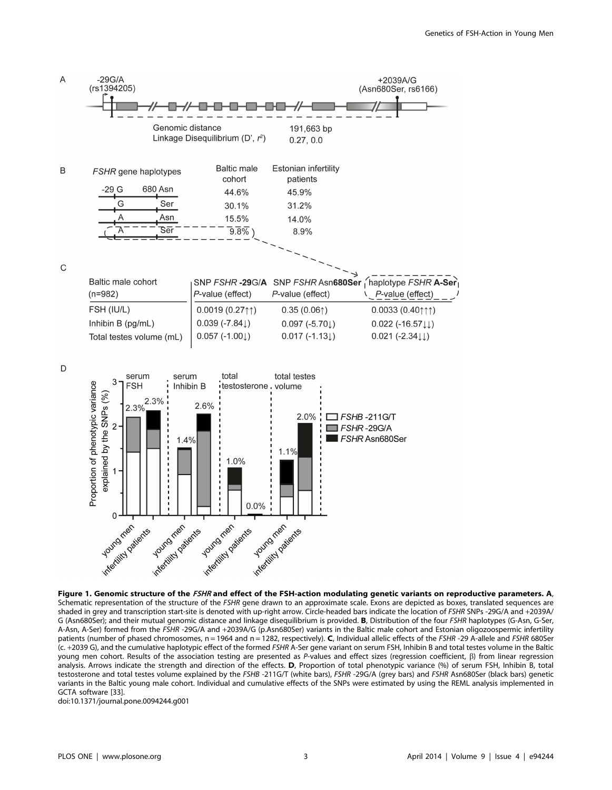

Figure 1. Genomic structure of the FSHR and effect of the FSH-action modulating genetic variants on reproductive parameters. A, Schematic representation of the structure of the FSHR gene drawn to an approximate scale. Exons are depicted as boxes, translated sequences are shaded in grey and transcription start-site is denoted with up-right arrow. Circle-headed bars indicate the location of FSHR SNPs -29G/A and +2039A/ G (Asn680Ser); and their mutual genomic distance and linkage disequilibrium is provided. B, Distribution of the four FSHR haplotypes (G-Asn, G-Ser, A-Asn, A-Ser) formed from the FSHR -29G/A and +2039A/G (p.Asn680Ser) variants in the Baltic male cohort and Estonian oligozoospermic infertility patients (number of phased chromosomes, n = 1964 and n = 1282, respectively). C, Individual allelic effects of the FSHR -29 A-allele and FSHR 680Ser (c. +2039 G), and the cumulative haplotypic effect of the formed FSHR A-Ser gene variant on serum FSH, Inhibin B and total testes volume in the Baltic young men cohort. Results of the association testing are presented as P-values and effect sizes (regression coefficient,  $\beta$ ) from linear regression analysis. Arrows indicate the strength and direction of the effects. D, Proportion of total phenotypic variance (%) of serum FSH, Inhibin B, total testosterone and total testes volume explained by the FSHB -211G/T (white bars), FSHR -29G/A (grey bars) and FSHR Asn680Ser (black bars) genetic variants in the Baltic young male cohort. Individual and cumulative effects of the SNPs were estimated by using the REML analysis implemented in GCTA software [33].

doi:10.1371/journal.pone.0094244.g001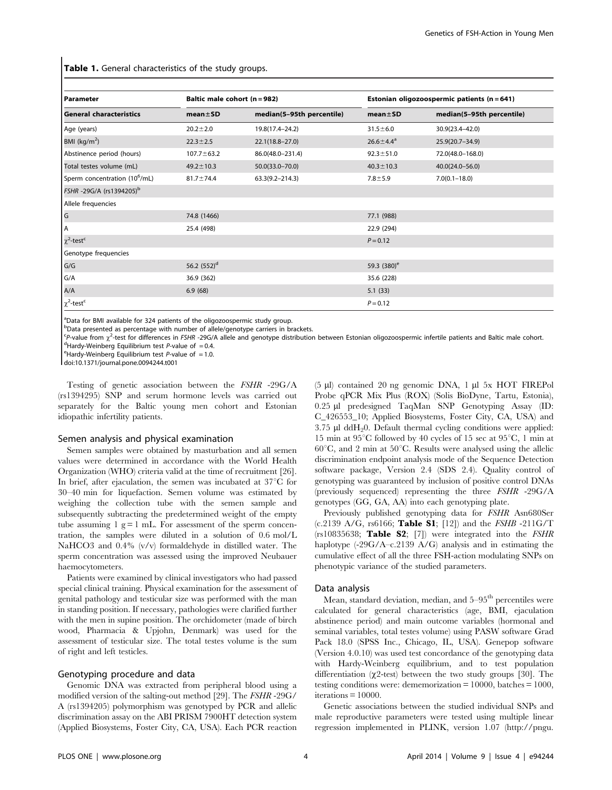Table 1. General characteristics of the study groups.

| l Parameter                               | Baltic male cohort (n = 982) |                           |                  | Estonian oligozoospermic patients (n = 641) |
|-------------------------------------------|------------------------------|---------------------------|------------------|---------------------------------------------|
| <b>General characteristics</b>            | $mean \pm SD$                | median(5-95th percentile) | $mean \pm SD$    | median(5-95th percentile)                   |
| Age (years)                               | $20.2 \pm 2.0$               | 19.8(17.4-24.2)           | $31.5 \pm 6.0$   | 30.9(23.4-42.0)                             |
| BMI ( $kg/m2$ )                           | $22.3 \pm 2.5$               | $22.1(18.8 - 27.0)$       | $26.6 \pm 4.4^a$ | 25.9(20.7-34.9)                             |
| Abstinence period (hours)                 | $107.7 \pm 63.2$             | 86.0(48.0-231.4)          | $92.3 \pm 51.0$  | 72.0(48.0-168.0)                            |
| Total testes volume (mL)                  | $49.2 \pm 10.3$              | $50.0(33.0 - 70.0)$       | $40.3 \pm 10.3$  | $40.0(24.0 - 56.0)$                         |
| Sperm concentration (10 <sup>6</sup> /mL) | $81.7 \pm 74.4$              | $63.3(9.2 - 214.3)$       | $7.8 + 5.9$      | $7.0(0.1 - 18.0)$                           |
| FSHR-29G/A (rs1394205)b                   |                              |                           |                  |                                             |
| Allele frequencies                        |                              |                           |                  |                                             |
| $\overline{G}$                            | 74.8 (1466)                  |                           | 77.1 (988)       |                                             |
| l A                                       | 25.4 (498)                   |                           | 22.9 (294)       |                                             |
| $\chi^2$ -test <sup>c</sup>               |                              |                           | $P = 0.12$       |                                             |
| Genotype frequencies                      |                              |                           |                  |                                             |
| G/G                                       | 56.2 $(552)^d$               |                           | 59.3 $(380)^e$   |                                             |
| G/A                                       | 36.9 (362)                   |                           | 35.6 (228)       |                                             |
| A/A                                       | 6.9(68)                      |                           | 5.1(33)          |                                             |
| $\chi^2$ -test <sup>c</sup>               |                              |                           | $P = 0.12$       |                                             |

<sup>a</sup>Data for BMI available for 324 patients of the oligozoospermic study group.

**b**Data presented as percentage with number of allele/genotype carriers in brackets.

 ${}^{\text{c}}P$ -value from  $\chi^2$ -test for differences in *FSHR -29G/A* allele and genotype distribution between Estonian oligozoospermic infertile patients and Baltic male cohort.

<sup>d</sup>Hardy-Weinberg Equilibrium test P-value of = 0.4.

 $e^{\text{H}}$ Hardy-Weinberg Equilibrium test P-value of = 1.0.

doi:10.1371/journal.pone.0094244.t001

Testing of genetic association between the FSHR -29G/A (rs1394295) SNP and serum hormone levels was carried out separately for the Baltic young men cohort and Estonian idiopathic infertility patients.

#### Semen analysis and physical examination

Semen samples were obtained by masturbation and all semen values were determined in accordance with the World Health Organization (WHO) criteria valid at the time of recruitment [26]. In brief, after ejaculation, the semen was incubated at  $37^{\circ}$ C for 30–40 min for liquefaction. Semen volume was estimated by weighing the collection tube with the semen sample and subsequently subtracting the predetermined weight of the empty tube assuming  $1 \text{ g} = 1 \text{ mL}$ . For assessment of the sperm concentration, the samples were diluted in a solution of 0.6 mol/L NaHCO3 and 0.4% (v/v) formaldehyde in distilled water. The sperm concentration was assessed using the improved Neubauer haemocytometers.

Patients were examined by clinical investigators who had passed special clinical training. Physical examination for the assessment of genital pathology and testicular size was performed with the man in standing position. If necessary, pathologies were clarified further with the men in supine position. The orchidometer (made of birch wood, Pharmacia & Upjohn, Denmark) was used for the assessment of testicular size. The total testes volume is the sum of right and left testicles.

# Genotyping procedure and data

Genomic DNA was extracted from peripheral blood using a modified version of the salting-out method [29]. The FSHR -29G/ A (rs1394205) polymorphism was genotyped by PCR and allelic discrimination assay on the ABI PRISM 7900HT detection system (Applied Biosystems, Foster City, CA, USA). Each PCR reaction (5 ml) contained 20 ng genomic DNA, 1 ml 5x HOT FIREPol Probe qPCR Mix Plus (ROX) (Solis BioDyne, Tartu, Estonia), 0.25 µl predesigned TaqMan SNP Genotyping Assay (ID: C\_426553\_10; Applied Biosystems, Foster City, CA, USA) and 3.75  $\mu$ l ddH<sub>2</sub>0. Default thermal cycling conditions were applied: 15 min at  $95^{\circ}$ C followed by 40 cycles of 15 sec at  $95^{\circ}$ C, 1 min at  $60^{\circ}$ C, and 2 min at  $50^{\circ}$ C. Results were analysed using the allelic discrimination endpoint analysis mode of the Sequence Detection software package, Version 2.4 (SDS 2.4). Quality control of genotyping was guaranteed by inclusion of positive control DNAs (previously sequenced) representing the three FSHR -29G/A genotypes (GG, GA, AA) into each genotyping plate.

Previously published genotyping data for FSHR Asn680Ser (c.2139 A/G, rs6166; Table S1; [12]) and the  $FSHB -211G/T$ ( $rs10835638$ ; Table S2; [7]) were integrated into the  $FSHR$ haplotype  $(-29G/A-c.2139 A/G)$  analysis and in estimating the cumulative effect of all the three FSH-action modulating SNPs on phenotypic variance of the studied parameters.

#### Data analysis

Mean, standard deviation, median, and  $5-95<sup>th</sup>$  percentiles were calculated for general characteristics (age, BMI, ejaculation abstinence period) and main outcome variables (hormonal and seminal variables, total testes volume) using PASW software Grad Pack 18.0 (SPSS Inc., Chicago, IL, USA). Genepop software (Version 4.0.10) was used test concordance of the genotyping data with Hardy-Weinberg equilibrium, and to test population differentiation  $(\chi^2$ -test) between the two study groups [30]. The testing conditions were: dememorization = 10000, batches = 1000,  $iterations = 10000$ .

Genetic associations between the studied individual SNPs and male reproductive parameters were tested using multiple linear regression implemented in PLINK, version 1.07 (http://pngu.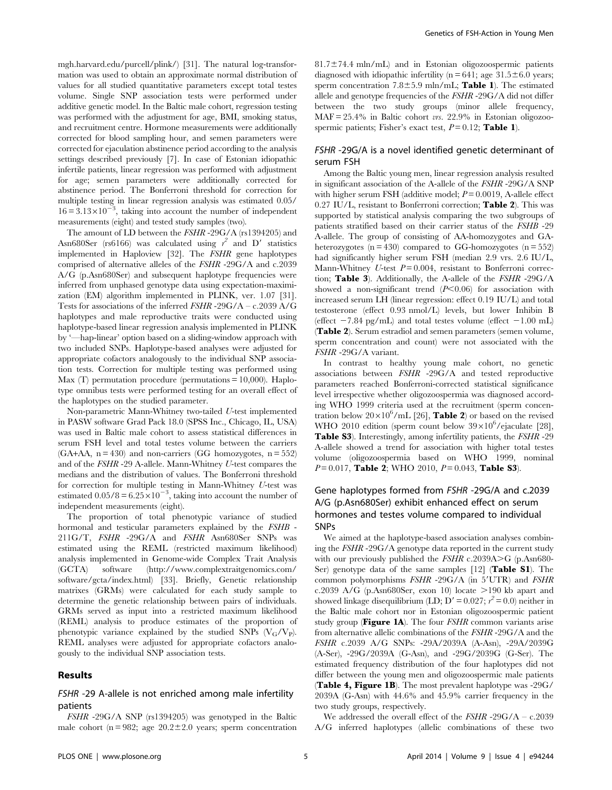mgh.harvard.edu/purcell/plink/) [31]. The natural log-transformation was used to obtain an approximate normal distribution of values for all studied quantitative parameters except total testes volume. Single SNP association tests were performed under additive genetic model. In the Baltic male cohort, regression testing was performed with the adjustment for age, BMI, smoking status, and recruitment centre. Hormone measurements were additionally corrected for blood sampling hour, and semen parameters were corrected for ejaculation abstinence period according to the analysis settings described previously [7]. In case of Estonian idiopathic infertile patients, linear regression was performed with adjustment for age; semen parameters were additionally corrected for abstinence period. The Bonferroni threshold for correction for multiple testing in linear regression analysis was estimated 0.05/  $16 = 3.13 \times 10^{-3}$ , taking into account the number of independent measurements (eight) and tested study samples (two).

The amount of LD between the FSHR -29G/A (rs1394205) and Asn680Ser (rs6166) was calculated using  $r^2$  and D' statistics implemented in Haploview [32]. The FSHR gene haplotypes comprised of alternative alleles of the FSHR -29G/A and c.2039 A/G (p.Asn680Ser) and subsequent haplotype frequencies were inferred from unphased genotype data using expectation-maximization (EM) algorithm implemented in PLINK, ver. 1.07 [31]. Tests for associations of the inferred  $FSHR - 29G/A - c.2039 A/G$ haplotypes and male reproductive traits were conducted using haplotype-based linear regression analysis implemented in PLINK by '—hap-linear' option based on a sliding-window approach with two included SNPs. Haplotype-based analyses were adjusted for appropriate cofactors analogously to the individual SNP association tests. Correction for multiple testing was performed using Max  $(T)$  permutation procedure (permutations = 10,000). Haplotype omnibus tests were performed testing for an overall effect of the haplotypes on the studied parameter.

Non-parametric Mann-Whitney two-tailed U-test implemented in PASW software Grad Pack 18.0 (SPSS Inc., Chicago, IL, USA) was used in Baltic male cohort to assess statistical differences in serum FSH level and total testes volume between the carriers  $(GA+AA, n = 430)$  and non-carriers  $(GG \text{ homozygotes}, n = 552)$ and of the FSHR -29 A-allele. Mann-Whitney U-test compares the medians and the distribution of values. The Bonferroni threshold for correction for multiple testing in Mann-Whitney U-test was estimated  $0.05/8 = 6.25 \times 10^{-3}$ , taking into account the number of independent measurements (eight).

The proportion of total phenotypic variance of studied hormonal and testicular parameters explained by the FSHB - 211G/T, FSHR -29G/A and FSHR Asn680Ser SNPs was estimated using the REML (restricted maximum likelihood) analysis implemented in Genome-wide Complex Trait Analysis (GCTA) software ([http://www.complextraitgenomics.com/](http://www.complextraitgenomics.com/software/gcta/index.html) [software/gcta/index.html\)](http://www.complextraitgenomics.com/software/gcta/index.html) [33]. Briefly, Genetic relationship matrixes (GRMs) were calculated for each study sample to determine the genetic relationship between pairs of individuals. GRMs served as input into a restricted maximum likelihood (REML) analysis to produce estimates of the proportion of phenotypic variance explained by the studied SNPs  $(V_G/V_P)$ . REML analyses were adjusted for appropriate cofactors analogously to the individual SNP association tests.

#### Results

# FSHR -29 A-allele is not enriched among male infertility patients

FSHR -29G/A SNP (rs1394205) was genotyped in the Baltic male cohort (n = 982; age  $20.2 \pm 2.0$  years; sperm concentration  $81.7 \pm 74.4$  mln/mL) and in Estonian oligozoospermic patients diagnosed with idiopathic infertility ( $n = 641$ ; age 31.5 $\pm$ 6.0 years; sperm concentration  $7.8 \pm 5.9$  mln/mL; Table 1). The estimated allele and genotype frequencies of the FSHR -29G/A did not differ between the two study groups (minor allele frequency,  $MAF = 25.4\%$  in Baltic cohort *vrs.* 22.9% in Estonian oligozoospermic patients; Fisher's exact test,  $P = 0.12$ ; Table 1).

# FSHR -29G/A is a novel identified genetic determinant of serum FSH

Among the Baltic young men, linear regression analysis resulted in significant association of the A-allele of the FSHR -29G/A SNP with higher serum FSH (additive model;  $P = 0.0019$ , A-allele effect 0.27 IU/L, resistant to Bonferroni correction; Table 2). This was supported by statistical analysis comparing the two subgroups of patients stratified based on their carrier status of the FSHB -29 A-allele. The group of consisting of AA-homozygotes and GAheterozygotes  $(n = 430)$  compared to GG-homozygotes  $(n = 552)$ had significantly higher serum FSH (median 2.9 vrs. 2.6 IU/L, Mann-Whitney U-test  $P = 0.004$ , resistant to Bonferroni correction; Table 3). Additionally, the A-allele of the FSHR -29G/A showed a non-significant trend  $(P<0.06)$  for association with increased serum LH (linear regression: effect 0.19 IU/L) and total testosterone (effect 0.93 nmol/L) levels, but lower Inhibin B (effect  $-7.84$  pg/mL) and total testes volume (effect  $-1.00$  mL) (Table 2). Serum estradiol and semen parameters (semen volume, sperm concentration and count) were not associated with the FSHR -29G/A variant.

In contrast to healthy young male cohort, no genetic associations between FSHR -29G/A and tested reproductive parameters reached Bonferroni-corrected statistical significance level irrespective whether oligozoospermia was diagnosed according WHO 1999 criteria used at the recruitment (sperm concentration below  $20 \times 10^6$ /mL [26], **Table 2**) or based on the revised WHO 2010 edition (sperm count below  $39\times10^6$ /ejaculate [28], Table S3). Interestingly, among infertility patients, the FSHR -29 A-allele showed a trend for association with higher total testes volume (oligozoospermia based on WHO 1999, nominal  $P = 0.017$ , Table 2; WHO 2010,  $P = 0.043$ , Table S3).

# Gene haplotypes formed from FSHR -29G/A and c.2039 A/G (p.Asn680Ser) exhibit enhanced effect on serum hormones and testes volume compared to individual SNPs

We aimed at the haplotype-based association analyses combining the FSHR -29G/A genotype data reported in the current study with our previously published the  $FSHR$  c.2039A>G (p.Asn680-Ser) genotype data of the same samples [12] (Table S1). The common polymorphisms  $FSHR -29G/A$  (in  $5'UTR$ ) and  $FSHR$ c.2039 A/G (p.Asn680Ser, exon 10) locate  $>190$  kb apart and showed linkage disequilibrium (LD;  $D' = 0.027$ ;  $r^2 = 0.0$ ) neither in the Baltic male cohort nor in Estonian oligozoospermic patient study group (**Figure 1A**). The four  $FSHR$  common variants arise from alternative allelic combinations of the FSHR -29G/A and the FSHR c.2039 A/G SNPs: -29A/2039A (A-Asn), -29A/2039G (A-Ser), -29G/2039A (G-Asn), and -29G/2039G (G-Ser). The estimated frequency distribution of the four haplotypes did not differ between the young men and oligozoospermic male patients (Table 4, Figure 1B). The most prevalent haplotype was -29G/ 2039A (G-Asn) with 44.6% and 45.9% carrier frequency in the two study groups, respectively.

We addressed the overall effect of the  $FSHR - 29G/A - c.2039$ A/G inferred haplotypes (allelic combinations of these two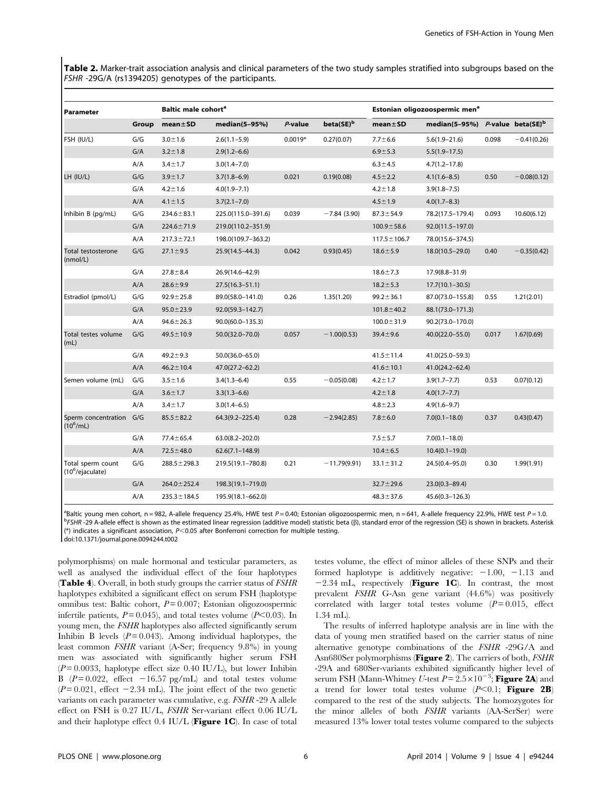Table 2. Marker-trait association analysis and clinical parameters of the two study samples stratified into subgroups based on the FSHR -29G/A (rs1394205) genotypes of the participants.

| Parameter                                     |       | Baltic male cohort <sup>a</sup> |                      |           | Estonian oligozoospermic men <sup>a</sup> |                      |                                             |       |               |
|-----------------------------------------------|-------|---------------------------------|----------------------|-----------|-------------------------------------------|----------------------|---------------------------------------------|-------|---------------|
|                                               | Group | $mean \pm SD$                   | median(5-95%)        | P-value   | beta(SE) <sup>b</sup>                     | mean <sub>±</sub> SD | median(5-95%) P-value beta(SE) <sup>b</sup> |       |               |
| FSH (IU/L)                                    | G/G   | $3.0 \pm 1.6$                   | $2.6(1.1 - 5.9)$     | $0.0019*$ | 0.27(0.07)                                | $7.7 \pm 6.6$        | $5.6(1.9 - 21.6)$                           | 0.098 | $-0.41(0.26)$ |
|                                               | G/A   | $3.2 \pm 1.8$                   | $2.9(1.2 - 6.6)$     |           |                                           | $6.9 + 5.3$          | $5.5(1.9 - 17.5)$                           |       |               |
|                                               | A/A   | $3.4 \pm 1.7$                   | $3.0(1.4 - 7.0)$     |           |                                           | $6.3 + 4.5$          | $4.7(1.2 - 17.8)$                           |       |               |
| LH (IU/L)                                     | G/G   | $3.9 + 1.7$                     | $3.7(1.8-6.9)$       | 0.021     | 0.19(0.08)                                | $4.5 \pm 2.2$        | $4.1(1.6 - 8.5)$                            | 0.50  | $-0.08(0.12)$ |
|                                               | G/A   | $4.2 \pm 1.6$                   | $4.0(1.9 - 7.1)$     |           |                                           | $4.2 \pm 1.8$        | $3.9(1.8 - 7.5)$                            |       |               |
|                                               | A/A   | $4.1 \pm 1.5$                   | $3.7(2.1 - 7.0)$     |           |                                           | $4.5 \pm 1.9$        | $4.0(1.7 - 8.3)$                            |       |               |
| Inhibin B (pg/mL)                             | G/G   | $234.6 \pm 83.1$                | 225.0(115.0-391.6)   | 0.039     | $-7.84(3.90)$                             | $87.3 \pm 54.9$      | 78.2(17.5-179.4)                            | 0.093 | 10.60(6.12)   |
|                                               | G/A   | $224.6 \pm 71.9$                | 219.0(110.2-351.9)   |           |                                           | $100.9 \pm 58.6$     | $92.0(11.5 - 197.0)$                        |       |               |
|                                               | A/A   | $217.3 \pm 72.1$                | 198.0(109.7-363.2)   |           |                                           | $117.5 \pm 106.7$    | 78.0(15.6-374.5)                            |       |               |
| Total testosterone<br>(nmol/L)                | G/G   | $27.1 \pm 9.5$                  | 25.9(14.5-44.3)      | 0.042     | 0.93(0.45)                                | $18.6 \pm 5.9$       | 18.0(10.5-29.0)                             | 0.40  | $-0.35(0.42)$ |
|                                               | G/A   | $27.8 + 8.4$                    | 26.9(14.6-42.9)      |           |                                           | $18.6 \pm 7.3$       | 17.9(8.8-31.9)                              |       |               |
|                                               | A/A   | $28.6 \pm 9.9$                  | $27.5(16.3 - 51.1)$  |           |                                           | $18.2 \pm 5.3$       | $17.7(10.1 - 30.5)$                         |       |               |
| Estradiol (pmol/L)                            | G/G   | $92.9 \pm 25.8$                 | 89.0(58.0-141.0)     | 0.26      | 1.35(1.20)                                | $99.2 \pm 36.1$      | 87.0(73.0-155.8)                            | 0.55  | 1.21(2.01)    |
|                                               | G/A   | $95.0 \pm 23.9$                 | 92.0(59.3-142.7)     |           |                                           | $101.8 \pm 40.2$     | 88.1(73.0-171.3)                            |       |               |
|                                               | A/A   | $94.6 \pm 26.3$                 | $90.0(60.0 - 135.3)$ |           |                                           | $100.0 \pm 31.9$     | 90.2(73.0-170.0)                            |       |               |
| Total testes volume<br>(mL)                   | G/G   | $49.5 \pm 10.9$                 | $50.0(32.0 - 70.0)$  | 0.057     | $-1.00(0.53)$                             | $39.4 \pm 9.6$       | $40.0(22.0 - 55.0)$                         | 0.017 | 1.67(0.69)    |
|                                               | G/A   | $49.2 \pm 9.3$                  | $50.0(36.0 - 65.0)$  |           |                                           | $41.5 \pm 11.4$      | 41.0(25.0-59.3)                             |       |               |
|                                               | A/A   | $46.2 \pm 10.4$                 | 47.0(27.2-62.2)      |           |                                           | $41.6 \pm 10.1$      | $41.0(24.2 - 62.4)$                         |       |               |
| Semen volume (mL)                             | G/G   | $3.5 \pm 1.6$                   | $3.4(1.3 - 6.4)$     | 0.55      | $-0.05(0.08)$                             | $4.2 \pm 1.7$        | $3.9(1.7 - 7.7)$                            | 0.53  | 0.07(0.12)    |
|                                               | G/A   | $3.6 \pm 1.7$                   | $3.3(1.3 - 6.6)$     |           |                                           | $4.2 \pm 1.8$        | $4.0(1.7 - 7.7)$                            |       |               |
|                                               | A/A   | $3.4 \pm 1.7$                   | $3.0(1.4 - 6.5)$     |           |                                           | $4.8 + 2.3$          | $4.9(1.6 - 9.7)$                            |       |               |
| Sperm concentration<br>$(10^6$ /mL)           | G/G   | $85.5 \pm 82.2$                 | $64.3(9.2 - 225.4)$  | 0.28      | $-2.94(2.85)$                             | $7.8 + 6.0$          | $7.0(0.1 - 18.0)$                           | 0.37  | 0.43(0.47)    |
|                                               | G/A   | $77.4 \pm 65.4$                 | 63.0(8.2-202.0)      |           |                                           | $7.5 + 5.7$          | $7.0(0.1 - 18.0)$                           |       |               |
|                                               | A/A   | $72.5 \pm 48.0$                 | $62.6(7.1 - 148.9)$  |           |                                           | $10.4 \pm 6.5$       | $10.4(0.1 - 19.0)$                          |       |               |
| Total sperm count<br>$(10^6/e^{\frac{1}{1}})$ | G/G   | $288.5 \pm 298.3$               | 219.5(19.1-780.8)    | 0.21      | $-11.79(9.91)$                            | $33.1 \pm 31.2$      | 24.5(0.4-95.0)                              | 0.30  | 1.99(1.91)    |
|                                               | G/A   | $264.0 \pm 252.4$               | 198.3(19.1-719.0)    |           |                                           | $32.7 \pm 29.6$      | $23.0(0.3 - 89.4)$                          |       |               |
|                                               | A/A   | $235.3 \pm 184.5$               | 195.9(18.1-662.0)    |           |                                           | $48.3 \pm 37.6$      | 45.6(0.3-126.3)                             |       |               |

<sup>a</sup>Baltic young men cohort, n = 982, A-allele frequency 25.4%, HWE test P = 0.40; Estonian oligozoospermic men, n = 641, A-allele frequency 22.9%, HWE test P = 1.0.<br>PESHR 200 A-allele effect is shown as the estimated line <sup>b</sup>FSHR -29 A-allele effect is shown as the estimated linear regression (additive model) statistic beta ( $\beta$ ), standard error of the regression (SE) is shown in brackets. Asterisk (\*) indicates a significant association,  $P<0.05$  after Bonferroni correction for multiple testing.

doi:10.1371/journal.pone.0094244.t002

polymorphisms) on male hormonal and testicular parameters, as well as analysed the individual effect of the four haplotypes (Table 4). Overall, in both study groups the carrier status of FSHR haplotypes exhibited a significant effect on serum FSH (haplotype omnibus test: Baltic cohort,  $P = 0.007$ ; Estonian oligozoospermic infertile patients,  $P = 0.045$ ), and total testes volume ( $P \le 0.03$ ). In young men, the FSHR haplotypes also affected significantly serum Inhibin B levels  $(P = 0.043)$ . Among individual haplotypes, the least common FSHR variant (A-Ser; frequency 9.8%) in young men was associated with significantly higher serum FSH  $(P=0.0033,$  haplotype effect size 0.40 IU/L), but lower Inhibin B ( $P = 0.022$ , effect  $-16.57$  pg/mL) and total testes volume  $(P=0.021,$  effect  $-2.34$  mL). The joint effect of the two genetic variants on each parameter was cumulative, e.g. FSHR -29 A allele effect on FSH is 0.27 IU/L, FSHR Ser-variant effect 0.06 IU/L and their haplotype effect 0.4 IU/L (Figure 1C). In case of total testes volume, the effect of minor alleles of these SNPs and their formed haplotype is additively negative:  $-1.00$ ,  $-1.13$  and  $-2.34$  mL, respectively (**Figure 1C**). In contrast, the most prevalent FSHR G-Asn gene variant (44.6%) was positively correlated with larger total testes volume  $(P = 0.015,$  effect 1.34 mL).

The results of inferred haplotype analysis are in line with the data of young men stratified based on the carrier status of nine alternative genotype combinations of the FSHR -29G/A and Asn680Ser polymorphisms (Figure 2). The carriers of both, FSHR -29A and 680Ser-variants exhibited significantly higher level of serum FSH (Mann-Whitney *U*-test  $P = 2.5 \times 10^{-3}$ ; Figure 2A) and a trend for lower total testes volume  $(P<0.1;$  Figure 2B) compared to the rest of the study subjects. The homozygotes for the minor alleles of both FSHR variants (AA-SerSer) were measured 13% lower total testes volume compared to the subjects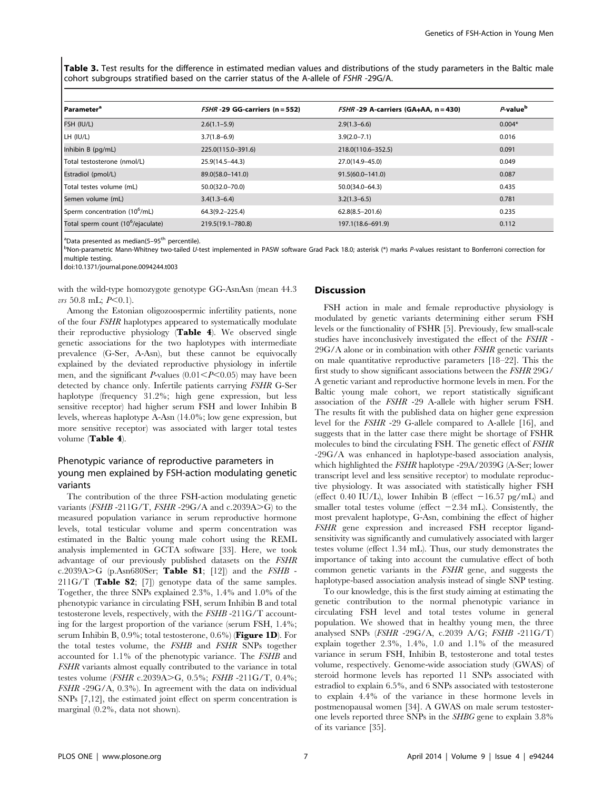Table 3. Test results for the difference in estimated median values and distributions of the study parameters in the Baltic male cohort subgroups stratified based on the carrier status of the A-allele of FSHR -29G/A.

| <b>Parameter<sup>a</sup></b>                   | $FSHR -29 GG-carriers (n = 552)$ | $FSHR -29$ A-carriers (GA+AA, n = 430) | P-value <sup>b</sup> |
|------------------------------------------------|----------------------------------|----------------------------------------|----------------------|
| FSH (IU/L)                                     | $2.6(1.1 - 5.9)$                 | $2.9(1.3-6.6)$                         | $0.004*$             |
| LH (IU/L)                                      | $3.7(1.8 - 6.9)$                 | $3.9(2.0 - 7.1)$                       | 0.016                |
| Inhibin B (pg/mL)                              | 225.0(115.0-391.6)               | 218.0(110.6-352.5)                     | 0.091                |
| Total testosterone (nmol/L)                    | 25.9(14.5-44.3)                  | 27.0(14.9-45.0)                        | 0.049                |
| Estradiol (pmol/L)                             | 89.0(58.0-141.0)                 | $91.5(60.0 - 141.0)$                   | 0.087                |
| Total testes volume (mL)                       | 50.0(32.0-70.0)                  | $50.0(34.0 - 64.3)$                    | 0.435                |
| Semen volume (mL)                              | $3.4(1.3-6.4)$                   | $3.2(1.3-6.5)$                         | 0.781                |
| Sperm concentration (10 <sup>6</sup> /mL)      | 64.3(9.2-225.4)                  | $62.8(8.5 - 201.6)$                    | 0.235                |
| Total sperm count (10 <sup>6</sup> /ejaculate) | 219.5(19.1-780.8)                | 197.1(18.6–691.9)                      | 0.112                |

<sup>a</sup>Data presented as median(5–95<sup>th</sup> percentile).<br><sup>b</sup>Non-parametric Mann-Whitney two-tailed U-

<sup>b</sup>Non-parametric Mann-Whitney two-tailed U-test implemented in PASW software Grad Pack 18.0; asterisk (\*) marks P-values resistant to Bonferroni correction for multiple testing.

doi:10.1371/journal.pone.0094244.t003

with the wild-type homozygote genotype GG-AsnAsn (mean 44.3  $vrs$  50.8 mL;  $P<0.1$ ).

Among the Estonian oligozoospermic infertility patients, none of the four FSHR haplotypes appeared to systematically modulate their reproductive physiology (Table 4). We observed single genetic associations for the two haplotypes with intermediate prevalence (G-Ser, A-Asn), but these cannot be equivocally explained by the deviated reproductive physiology in infertile men, and the significant P-values  $(0.01 \leq P \leq 0.05)$  may have been detected by chance only. Infertile patients carrying FSHR G-Ser haplotype (frequency 31.2%; high gene expression, but less sensitive receptor) had higher serum FSH and lower Inhibin B levels, whereas haplotype A-Asn (14.0%; low gene expression, but more sensitive receptor) was associated with larger total testes volume (Table 4).

# Phenotypic variance of reproductive parameters in young men explained by FSH-action modulating genetic variants

The contribution of the three FSH-action modulating genetic variants ( $FSHB -211G/T$ ,  $FSHR -29G/A$  and c.2039A $\geq G$ ) to the measured population variance in serum reproductive hormone levels, total testicular volume and sperm concentration was estimated in the Baltic young male cohort using the REML analysis implemented in GCTA software [33]. Here, we took advantage of our previously published datasets on the FSHR c.2039A $\geq$ G (p.Asn680Ser; Table S1; [12]) and the FSHB - $211G/T$  (Table S2; [7]) genotype data of the same samples. Together, the three SNPs explained 2.3%, 1.4% and 1.0% of the phenotypic variance in circulating FSH, serum Inhibin B and total testosterone levels, respectively, with the FSHB -211G/T accounting for the largest proportion of the variance (serum FSH, 1.4%; serum Inhibin B,  $0.9\%$ ; total testosterone,  $0.6\%$ ) (**Figure 1D**). For the total testes volume, the FSHB and FSHR SNPs together accounted for 1.1% of the phenotypic variance. The FSHB and FSHR variants almost equally contributed to the variance in total testes volume (FSHR c.2039A>G, 0.5%; FSHB -211G/T, 0.4%; FSHR -29G/A, 0.3%). In agreement with the data on individual SNPs [7,12], the estimated joint effect on sperm concentration is marginal (0.2%, data not shown).

# Discussion

FSH action in male and female reproductive physiology is modulated by genetic variants determining either serum FSH levels or the functionality of FSHR [5]. Previously, few small-scale studies have inconclusively investigated the effect of the FSHR - 29G/A alone or in combination with other FSHR genetic variants on male quantitative reproductive parameters [18–22]. This the first study to show significant associations between the FSHR 29G/ A genetic variant and reproductive hormone levels in men. For the Baltic young male cohort, we report statistically significant association of the FSHR -29 A-allele with higher serum FSH. The results fit with the published data on higher gene expression level for the FSHR -29 G-allele compared to A-allele [16], and suggests that in the latter case there might be shortage of FSHR molecules to bind the circulating FSH. The genetic effect of FSHR -29G/A was enhanced in haplotype-based association analysis, which highlighted the FSHR haplotype -29A/2039G (A-Ser; lower transcript level and less sensitive receptor) to modulate reproductive physiology. It was associated with statistically higher FSH (effect 0.40 IU/L), lower Inhibin B (effect  $-16.57$  pg/mL) and smaller total testes volume (effect  $-2.34$  mL). Consistently, the most prevalent haplotype, G-Asn, combining the effect of higher FSHR gene expression and increased FSH receptor ligandsensitivity was significantly and cumulatively associated with larger testes volume (effect 1.34 mL). Thus, our study demonstrates the importance of taking into account the cumulative effect of both common genetic variants in the FSHR gene, and suggests the haplotype-based association analysis instead of single SNP testing.

To our knowledge, this is the first study aiming at estimating the genetic contribution to the normal phenotypic variance in circulating FSH level and total testes volume in general population. We showed that in healthy young men, the three analysed SNPs (FSHR -29G/A, c.2039 A/G; FSHB -211G/T) explain together 2.3%, 1.4%, 1.0 and 1.1% of the measured variance in serum FSH, Inhibin B, testosterone and total testes volume, respectively. Genome-wide association study (GWAS) of steroid hormone levels has reported 11 SNPs associated with estradiol to explain 6.5%, and 6 SNPs associated with testosterone to explain 4.4% of the variance in these hormone levels in postmenopausal women [34]. A GWAS on male serum testosterone levels reported three SNPs in the SHBG gene to explain 3.8% of its variance [35].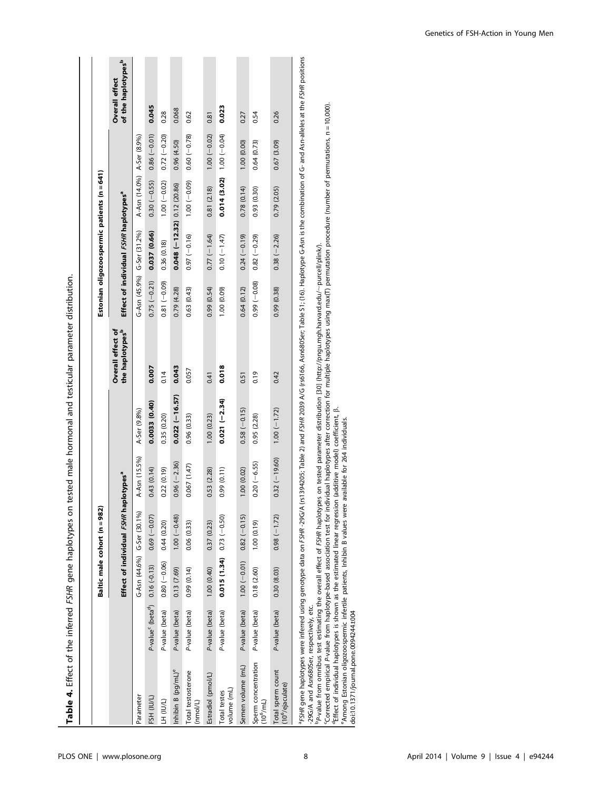|                                                   |                                           |                               | Baltic male cohort (n = 982) |                       |                 |                                                         |                 | Estonian oligozoospermic patients (n = 641)       |                              |                |                                                         |
|---------------------------------------------------|-------------------------------------------|-------------------------------|------------------------------|-----------------------|-----------------|---------------------------------------------------------|-----------------|---------------------------------------------------|------------------------------|----------------|---------------------------------------------------------|
|                                                   |                                           |                               | Effect of individual FSHR ha | plotypes <sup>ª</sup> |                 | <b>Overall effect of</b><br>the haplotypes <sup>b</sup> |                 | Effect of individual FSHR haplotypes <sup>ª</sup> |                              |                | of the haplotypes <sup>b</sup><br><b>Overall effect</b> |
| Parameter                                         |                                           |                               | G-Asn (44.6%) G-Ser (30.1%)  | A-Asn (15.5%)         | A-Ser (9.8%)    |                                                         |                 | G-Asn (45.9%) G-Ser (31.2%)                       | A-Asn (14.0%) A-Ser (8.9%)   |                |                                                         |
| FSH (IU/L)                                        | P-value <sup>c</sup> (beta <sup>d</sup> ) | $0.16(-0.13)$                 | $0.69(-0.07)$                | 0.43(0.14)            | 0.0033(0.40)    | 0.007                                                   | $0.75(-0.21)$   | 0.037 (0.66)                                      | $0.30 (-0.55)$               | $0.86(-0.01)$  | 0.045                                                   |
| <b>TH (INT)</b>                                   | P-value (beta)                            | $0.80 (-0.06)$                | 0.44(0.20)                   | 0.22(0.19)            | 0.35 (0.20)     | 0.14                                                    | $(60.0 -) 18.0$ | 0.36 (0.18)                                       | $1.00 (-0.02)$               | $0.72(-0.20)$  | 0.28                                                    |
| Inhibin B (pg/mL) <sup>e</sup>                    | P-value (beta)                            | 0.13 (7.69)                   | $1.00 (-0.48)$               | $0.96 (-2.36)$        | $0.022(-16.57)$ | 0.043                                                   | 0.79(4.28)      | $0.048(-12.32)$ 0.12 (20.86)                      |                              | 0.96 (4.50)    | 0.068                                                   |
| Total testosterone<br>(nmol/L)                    | P-value (beta)                            | 0.99(0.14)                    | 0.06(0.33)                   | 0.067(1.47)           | 0.96 (0.33)     | 0.057                                                   | 0.63(0.43)      | $0.97 (-0.16)$                                    | $(60.0 - 1001)$              | $0.60 (-0.78)$ | 0.62                                                    |
| Estradiol (pmol/L)                                | P-value (beta)                            | 1.00(0.40)                    | 0.37 (0.23)                  | 0.53 (2.28)           | 1.00(0.23)      | 0.41                                                    | 0.99 (0.54)     | $0.77(-1.64)$                                     | 0.81(2.18)                   | $1.00 (-0.02)$ | 0.81                                                    |
| volume (mL)<br>Total testes                       | P-value (beta)                            | $0.015(1.34)$ $0.73(-0.50)$   |                              | 0.99 (0.11)           | $0.021(-2.34)$  | 0.018                                                   | 1.00 (0.09)     | $0.10 (-1.47)$                                    | $0.014$ (3.02) $1.00(-0.04)$ |                | 0.023                                                   |
| Semen volume (mL)                                 | P-value (beta)                            | $1.00 (-0.01)$ 0.82 $(-0.15)$ |                              | 1.00(0.02)            | $0.58(-0.15)$   | 0.51                                                    | 0.64(0.12)      | $0.24(-0.19)$                                     | 0.78(0.14)                   | 1.00(0.00)     | 0.27                                                    |
| Sperm concentration<br>$(10^6$ /mL)               | P-value (beta)                            | 0.18 (2.60)                   | 1.00(0.19)                   | $0.20 (-6.55)$        | 0.95 (2.28)     | 0.19                                                    | $0.99 (-0.08)$  | $0.82 (-0.29)$                                    | 0.93 (0.30)                  | 0.64(0.73)     | 0.54                                                    |
| Total sperm count<br>(10 <sup>6</sup> /ejaculate) | P-value (beta)                            | 0.30(8.03)                    | $0.98(-1.72)$                | $0.32(-19.60)$        | $1.00 (-1.72)$  | 0.42                                                    | 0.99 (0.38)     | $0.38 (-2.26)$                                    | 0.79 (2.05)                  | 0.67 (3.09)    | 0.26                                                    |

P-value from omnibus test estimating the overall effect of FSHR haplotypes on tested parameter distribution [30] ([http://pngu.mgh.harvard.edu/](http://pngu.mgh.harvard.edu/~purcell/plink/) ,purcell/plink/).

"Corrected empirical P-value from haplotype-based association test for individual haplotypes after correction for multiple haplotypes using max(T) permutation procedure (number of permutations, n = 10,000).<br>"Effect of ind

doi:10.1371/journal.pone.0094244.t004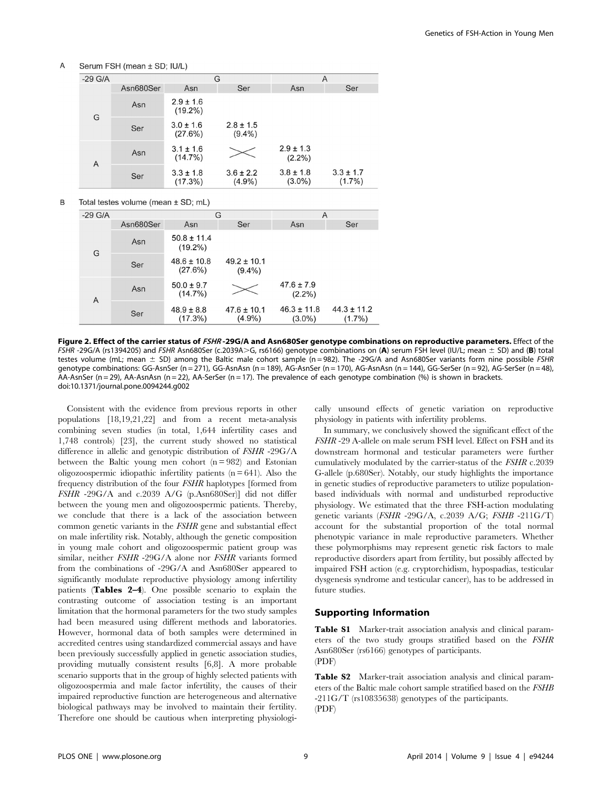Serum FSH (mean ± SD; IU/L)

| $-29$ G/A |           |                             | G                          |                            | A                          |  |
|-----------|-----------|-----------------------------|----------------------------|----------------------------|----------------------------|--|
|           | Asn680Ser | Asn                         | Ser                        | Asn                        | Ser                        |  |
| G         | Asn       | $2.9 \pm 1.6$<br>$(19.2\%)$ |                            |                            |                            |  |
|           | Ser       | $3.0 \pm 1.6$<br>(27.6%)    | $2.8 \pm 1.5$<br>$(9.4\%)$ |                            |                            |  |
|           | Asn       | $3.1 \pm 1.6$<br>$(14.7\%)$ |                            | $2.9 \pm 1.3$<br>$(2.2\%)$ |                            |  |
| Α         | Ser       | $3.3 \pm 1.8$<br>$(17.3\%)$ | $3.6 \pm 2.2$<br>$(4.9\%)$ | $3.8 \pm 1.8$<br>$(3.0\%)$ | $3.3 \pm 1.7$<br>$(1.7\%)$ |  |

B Total testes volume (mean ± SD; mL)

| $-29$ G/A |           |                               | G                            | A                            |                              |
|-----------|-----------|-------------------------------|------------------------------|------------------------------|------------------------------|
|           | Asn680Ser | Asn                           | Ser                          | Asn                          | Ser                          |
| G         | Asn       | $50.8 \pm 11.4$<br>$(19.2\%)$ |                              |                              |                              |
|           | Ser       | $48.6 \pm 10.8$<br>(27.6%)    | $49.2 \pm 10.1$<br>$(9.4\%)$ |                              |                              |
| A         | Asn       | $50.0 \pm 9.7$<br>(14.7%)     |                              | $47.6 \pm 7.9$<br>$(2.2\%)$  |                              |
|           | Ser       | $48.9 \pm 8.8$<br>(17.3%)     | $47.6 \pm 10.1$<br>$(4.9\%)$ | $46.3 \pm 11.8$<br>$(3.0\%)$ | $44.3 \pm 11.2$<br>$(1.7\%)$ |

Figure 2. Effect of the carrier status of FSHR-29G/A and Asn680Ser genotype combinations on reproductive parameters. Effect of the FSHR-29G/A (rs1394205) and FSHR Asn680Ser (c.2039A>G, rs6166) genotype combinations on (A) serum FSH level (IU/L; mean  $\pm$  SD) and (B) total testes volume (mL; mean  $\pm$  SD) among the Baltic male cohort sample (n = 982). The -29G/A and Asn680Ser variants form nine possible FSHR genotype combinations: GG-AsnSer (n = 271), GG-AsnAsn (n = 189), AG-AsnSer (n = 170), AG-AsnAsn (n = 144), GG-SerSer (n = 92), AG-SerSer (n = 48), AA-AsnSer (n = 29), AA-AsnAsn (n = 22), AA-SerSer (n = 17). The prevalence of each genotype combination (%) is shown in brackets. doi:10.1371/journal.pone.0094244.g002

Consistent with the evidence from previous reports in other populations [18,19,21,22] and from a recent meta-analysis combining seven studies (in total, 1,644 infertility cases and 1,748 controls) [23], the current study showed no statistical difference in allelic and genotypic distribution of FSHR -29G/A between the Baltic young men cohort  $(n = 982)$  and Estonian oligozoospermic idiopathic infertility patients  $(n = 641)$ . Also the frequency distribution of the four FSHR haplotypes [formed from FSHR -29G/A and c.2039 A/G (p.Asn680Ser)] did not differ between the young men and oligozoospermic patients. Thereby, we conclude that there is a lack of the association between common genetic variants in the FSHR gene and substantial effect on male infertility risk. Notably, although the genetic composition in young male cohort and oligozoospermic patient group was similar, neither FSHR -29G/A alone nor FSHR variants formed from the combinations of -29G/A and Asn680Ser appeared to significantly modulate reproductive physiology among infertility patients (Tables 2–4). One possible scenario to explain the contrasting outcome of association testing is an important limitation that the hormonal parameters for the two study samples had been measured using different methods and laboratories. However, hormonal data of both samples were determined in accredited centres using standardized commercial assays and have been previously successfully applied in genetic association studies, providing mutually consistent results [6,8]. A more probable scenario supports that in the group of highly selected patients with oligozoospermia and male factor infertility, the causes of their impaired reproductive function are heterogeneous and alternative biological pathways may be involved to maintain their fertility. Therefore one should be cautious when interpreting physiologically unsound effects of genetic variation on reproductive physiology in patients with infertility problems.

In summary, we conclusively showed the significant effect of the FSHR -29 A-allele on male serum FSH level. Effect on FSH and its downstream hormonal and testicular parameters were further cumulatively modulated by the carrier-status of the FSHR c.2039 G-allele (p.680Ser). Notably, our study highlights the importance in genetic studies of reproductive parameters to utilize populationbased individuals with normal and undisturbed reproductive physiology. We estimated that the three FSH-action modulating genetic variants (FSHR -29G/A, c.2039 A/G; FSHB -211G/T) account for the substantial proportion of the total normal phenotypic variance in male reproductive parameters. Whether these polymorphisms may represent genetic risk factors to male reproductive disorders apart from fertility, but possibly affected by impaired FSH action (e.g. cryptorchidism, hypospadias, testicular dysgenesis syndrome and testicular cancer), has to be addressed in future studies.

#### Supporting Information

Table S1 Marker-trait association analysis and clinical parameters of the two study groups stratified based on the FSHR Asn680Ser (rs6166) genotypes of participants. (PDF)

Table S2 Marker-trait association analysis and clinical parameters of the Baltic male cohort sample stratified based on the FSHB -211G/T (rs10835638) genotypes of the participants. (PDF)